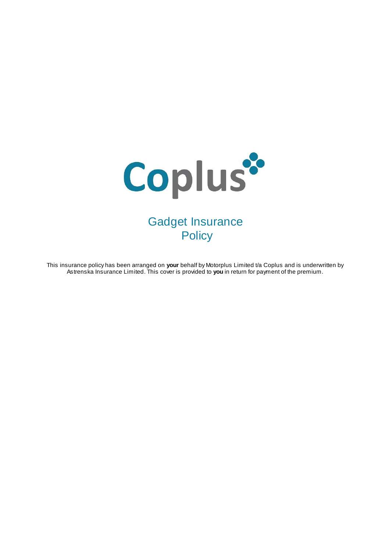

This insurance policy has been arranged on **your** behalf by Motorplus Limited t/a Coplus and is underwritten by Astrenska Insurance Limited. This cover is provided to **you** in return for payment of the premium.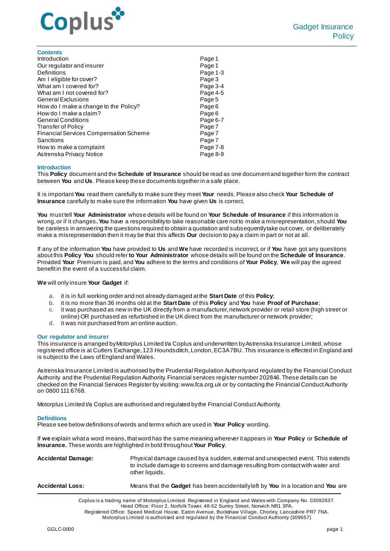

| <b>Contents</b>                               |          |
|-----------------------------------------------|----------|
| Introduction                                  | Page 1   |
| Our regulator and insurer                     | Page 1   |
| Definitions                                   | Page 1-3 |
| Am I eligible for cover?                      | Page 3   |
| What am I covered for?                        | Page 3-4 |
| What am I not covered for?                    | Page 4-5 |
| <b>General Exclusions</b>                     | Page 5   |
| How do I make a change to the Policy?         | Page 6   |
| How do I make a claim?                        | Page 6   |
| <b>General Conditions</b>                     | Page 6-7 |
| <b>Transfer of Policy</b>                     | Page 7   |
| <b>Financial Services Compensation Scheme</b> | Page 7   |
| Sanctions                                     | Page 7   |
| How to make a complaint                       | Page 7-8 |
| Astrenska Privacy Notice                      | Page 8-9 |

### **Introduction**

This **Policy** document and the **Schedule of Insurance** should be read as one document and together form the contract between **You** and **Us**. Please keep these documents together in a safe place.

It is important **You** read them carefully to make sure they meet **Your** needs. Please also check **Your Schedule of Insurance** carefully to make sure the information **You** have given **Us** is correct.

**You** must tell **Your Administrator** whose details will be found on **Your Schedule of Insurance** if this information is wrong, or if it changes**.You** have a responsibility to take reasonable care not to make a misrepresentation, should **You** be careless in answering the questions required to obtain a quotation and subsequently take out cover, or deliberately make a misrepresentation then it may be that this affects **Our** decision to pay a claim in part or not at all.

If any of the information **You** have provided to **Us** and **We** have recorded is incorrect, or if **You** have got any questions about this **Policy You** should refer **to Your Administrator** whose details will be found on the **Schedule of Insurance**. Provided **Your** Premium is paid, and **You** adhere to the terms and conditions of **Your Policy**, **We** will pay the agreed benefit in the event of a successful claim.

**We** will only insure **Your Gadget** if:

- a. it is in full working order and not already damaged at the **Start Date** of this **Policy**;
- b. it is no more than 36 months old at the **Start Date** of this **Policy** and **You** have **Proof of Purchase**;
- c. it was purchased as new in the UK directly from a manufacturer, network provider or retail store (high street or online) OR purchased as refurbished in the UK direct from the manufacturer or network provider;
- d. it was not purchased from an online auction.

#### **Our regulator and insurer**

This insurance is arranged by Motorplus Limited t/a Coplus and underwritten by Astrenska Insurance Limited, whose registered office is at Cutlers Exchange, 123 Houndsditch, London, EC3A 7BU. This insurance is effected in England and is subject to the Laws of England and Wales.

Astrenska Insurance Limited is authorised by the Prudential Regulation Authority and regulated by the Financial Conduct Authority and the Prudential Regulation Authority. Financial services register number 202846. These details can be checked on the Financial Services Register by visiting: www.fca.org.uk or by contacting the Financial Conduct Authority on 0800 111 6768.

Motorplus Limited t/a Coplus are authorised and regulated by the Financial Conduct Authority.

#### **Definitions**

Please see below definitions of words and terms which are used in **Your Policy** wording.

If **we** explain what a word means, that word has the same meaning wherever it appears in **Your Policy** or **Schedule of Insurance.** These words are highlighted in bold throughout **Your Policy**.

| <b>Accidental Damage:</b> | Physical damage caused by a sudden, external and unexpected event. This extends<br>to include damage to screens and damage resulting from contact with water and<br>other liquids. |
|---------------------------|------------------------------------------------------------------------------------------------------------------------------------------------------------------------------------|
| <b>Accidental Loss:</b>   | Means that the Gadget has been accidentally left by You in a location and You are                                                                                                  |
|                           |                                                                                                                                                                                    |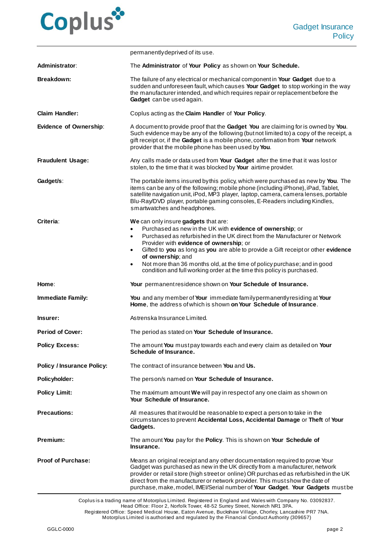

|                                   | permanently deprived of its use.                                                                                                                                                                                                                                                                                                                                                                                                                                                                                                               |
|-----------------------------------|------------------------------------------------------------------------------------------------------------------------------------------------------------------------------------------------------------------------------------------------------------------------------------------------------------------------------------------------------------------------------------------------------------------------------------------------------------------------------------------------------------------------------------------------|
| <b>Administrator:</b>             | The Administrator of Your Policy as shown on Your Schedule.                                                                                                                                                                                                                                                                                                                                                                                                                                                                                    |
| <b>Breakdown:</b>                 | The failure of any electrical or mechanical component in Your Gadget due to a<br>sudden and unforeseen fault, which causes Your Gadget to stop working in the way<br>the manufacturer intended, and which requires repair or replacement before the<br>Gadget can be used again.                                                                                                                                                                                                                                                               |
| <b>Claim Handler:</b>             | Coplus acting as the Claim Handler of Your Policy.                                                                                                                                                                                                                                                                                                                                                                                                                                                                                             |
| <b>Evidence of Ownership:</b>     | A document to provide proof that the Gadget You are claiming for is owned by You.<br>Such evidence may be any of the following (but not limited to) a copy of the receipt, a<br>gift receipt or, if the Gadget is a mobile phone, confirmation from Your network<br>provider that the mobile phone has been used by You.                                                                                                                                                                                                                       |
| <b>Fraudulent Usage:</b>          | Any calls made or data used from Your Gadget after the time that it was lost or<br>stolen, to the time that it was blocked by Your airtime provider.                                                                                                                                                                                                                                                                                                                                                                                           |
| Gadget/s:                         | The portable items insured by this policy, which were purchased as new by You. The<br>items can be any of the following; mobile phone (including iPhone), iPad, Tablet,<br>satellite navigation unit, iPod, MP3 player, laptop, camera, camera lenses, portable<br>Blu-Ray/DVD player, portable gaming consoles, E-Readers including Kindles,<br>smartwatches and headphones.                                                                                                                                                                  |
| Criteria:                         | We can only insure gadgets that are:<br>Purchased as new in the UK with evidence of ownership; or<br>$\bullet$<br>Purchased as refurbished in the UK direct from the Manufacturer or Network<br>$\bullet$<br>Provider with evidence of ownership; or<br>Gifted to you as long as you are able to provide a Gift receipt or other evidence<br>$\bullet$<br>of ownership; and<br>Not more than 36 months old, at the time of policy purchase; and in good<br>$\bullet$<br>condition and full working order at the time this policy is purchased. |
| Home:                             | Your permanent residence shown on Your Schedule of Insurance.                                                                                                                                                                                                                                                                                                                                                                                                                                                                                  |
| <b>Immediate Family:</b>          | You and any member of Your immediate family permanently residing at Your<br>Home, the address of which is shown on Your Schedule of Insurance.                                                                                                                                                                                                                                                                                                                                                                                                 |
| Insurer:                          | Astrenska Insurance Limited.                                                                                                                                                                                                                                                                                                                                                                                                                                                                                                                   |
| <b>Period of Cover:</b>           | The period as stated on Your Schedule of Insurance.                                                                                                                                                                                                                                                                                                                                                                                                                                                                                            |
| <b>Policy Excess:</b>             | The amount You mustpay towards each and every claim as detailed on Your<br>Schedule of Insurance.                                                                                                                                                                                                                                                                                                                                                                                                                                              |
| <b>Policy / Insurance Policy:</b> | The contract of insurance between You and Us.                                                                                                                                                                                                                                                                                                                                                                                                                                                                                                  |
| Policyholder:                     | The person/s named on Your Schedule of Insurance.                                                                                                                                                                                                                                                                                                                                                                                                                                                                                              |
| <b>Policy Limit:</b>              | The maximum amount We will pay in respect of any one claim as shown on<br>Your Schedule of Insurance.                                                                                                                                                                                                                                                                                                                                                                                                                                          |
| <b>Precautions:</b>               | All measures that it would be reasonable to expect a person to take in the<br>circumstances to prevent Accidental Loss, Accidental Damage or Theft of Your<br>Gadgets.                                                                                                                                                                                                                                                                                                                                                                         |
| Premium:                          | The amount You pay for the Policy. This is shown on Your Schedule of<br>Insurance.                                                                                                                                                                                                                                                                                                                                                                                                                                                             |
| <b>Proof of Purchase:</b>         | Means an original receipt and any other documentation required to prove Your<br>Gadget was purchased as new in the UK directly from a manufacturer, network<br>provider or retail store (high street or online) OR purchased as refurbished in the UK<br>direct from the manufacturer or network provider. This must show the date of<br>purchase, make, model, IMEI/Serial number of Your Gadget. Your Gadgets mustbe                                                                                                                         |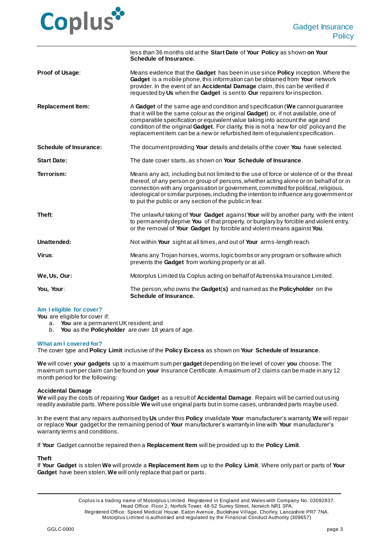

|                               | less than 36 months old at the Start Date of Your Policy as shown on Your<br>Schedule of Insurance.                                                                                                                                                                                                                                                                                                                                  |
|-------------------------------|--------------------------------------------------------------------------------------------------------------------------------------------------------------------------------------------------------------------------------------------------------------------------------------------------------------------------------------------------------------------------------------------------------------------------------------|
| Proof of Usage:               | Means evidence that the Gadget has been in use since Policy inception. Where the<br>Gadget is a mobile phone, this information can be obtained from Your network<br>provider. In the event of an Accidental Damage claim, this can be verified if<br>requested by Us when the Gadget is sent to Our repairers for inspection.                                                                                                        |
| <b>Replacement Item:</b>      | A Gadget of the same age and condition and specification (We cannot guarantee<br>that it will be the same colour as the original Gadget) or, if not available, one of<br>comparable specification or equivalent value taking into account the age and<br>condition of the original Gadget. For clarity, this is not a 'new for old' policy and the<br>replacement item can be a new or refurbished item of equivalent specification. |
| <b>Schedule of Insurance:</b> | The document providing Your details and details of the cover You have selected.                                                                                                                                                                                                                                                                                                                                                      |
| <b>Start Date:</b>            | The date cover starts, as shown on Your Schedule of Insurance.                                                                                                                                                                                                                                                                                                                                                                       |
| Terrorism:                    | Means any act, including but not limited to the use of force or violence of or the threat<br>thereof, of any person or group of persons, whether acting alone or on behalf of or in<br>connection with any organisation or government, committed for political, religious,<br>ideological or similar purposes, including the intention to influence any government or<br>to put the public or any section of the public in fear.     |
| Theft:                        | The unlawful taking of Your Gadget against Your will by another party, with the intent<br>to permanently deprive You of that property, or burglary by forcible and violent entry,<br>or the removal of Your Gadget by forcible and violent means against You.                                                                                                                                                                        |
| Unattended:                   | Not within Your sight at all times, and out of Your arms-length reach.                                                                                                                                                                                                                                                                                                                                                               |
| Virus:                        | Means any Trojan horses, worms, logic bombs or any program or software which<br>prevents the Gadget from working properly or at all.                                                                                                                                                                                                                                                                                                 |
| We, Us, Our:                  | Motorplus Limited t/a Coplus acting on behalf of Astrenska Insurance Limited.                                                                                                                                                                                                                                                                                                                                                        |
| You, Your:                    | The person, who owns the Gadget(s) and named as the Policyholder on the<br>Schedule of Insurance.                                                                                                                                                                                                                                                                                                                                    |

## **Am I eligible for cover?**

**You** are eligible for cover if:

- a. **You** are a permanent UK resident; and
- b. **You** as the **Policyholder** are over 18 years of age.

#### **What am I covered for?**

The cover type and **Policy Limit** inclusive of the **Policy Excess** as shown on **Your Schedule of Insurance**.

**We** will cover **your gadgets** up to a maximum sum per **gadget** depending on the level of cover **you** choose. The maximum sum per claim can be found on **your** Insurance Certificate. A maximum of 2 claims can be made in any 12 month period for the following:

## **Accidental Damage**

**We** will pay the costs of repairing **Your Gadget** as a result of **Accidental Damage**. Repairs will be carried out using readily available parts. Where possible **We** will use original parts but in some cases, unbranded parts may be used.

In the event that any repairs authorised by **Us** under this **Policy** invalidate **Your** manufacturer's warranty, **We** will repair or replace **Your** gadget for the remaining period of **Your** manufacturer's warranty in line with **Your** manufacturer's warranty terms and conditions.

If **Your** Gadget cannot be repaired then a **Replacement Item** will be provided up to the **Policy Limit**.

#### **Theft**

If **Your Gadget** is stolen **We** will provide a **Replacement Item** up to the **Policy Limit**. Where only part or parts of **Your Gadget** have been stolen, **We** will only replace that part or parts.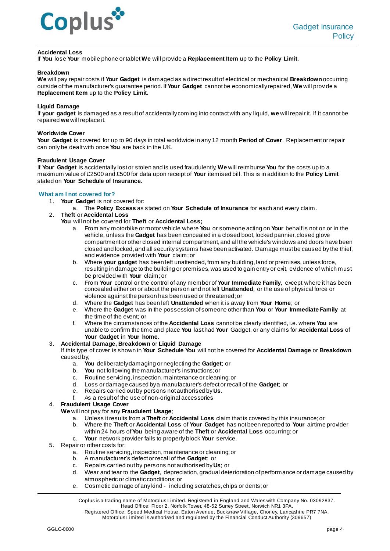

# **Accidental Loss**

If **You** lose **Your** mobile phone or tablet **We** will provide a **Replacement Item** up to the **Policy Limit**.

### **Breakdown**

**We** will pay repair costs if **Your Gadget** is damaged as a direct result of electrical or mechanical **Breakdown**occurring outside of the manufacturer's guarantee period. If **Your Gadget** cannot be economically repaired, **We** will provide a **Replacement Item** up to the **Policy Limit.**

# **Liquid Damage**

If **your gadget** is damaged as a result of accidentally coming into contact with any liquid, **we** will repair it. If it cannot be repaired **we** will replace it.

# **Worldwide Cover**

**Your Gadget** is covered for up to 90 days in total worldwide in any 12 month **Period of Cover**. Replacement or repair can only be dealt with once **You** are back in the UK.

# **Fraudulent Usage Cover**

If **Your Gadget** is accidentally lost or stolen and is used fraudulently, **We** will reimburse **You** for the costs up to a maximum value of £2500 and £500 for data upon receipt of **Your** itemised bill. This is in addition to the **Policy Limit** stated on **Your Schedule of Insurance.** 

# **What am I not covered for?**

- 1. **Your Gadget** is not covered for:
	- a. The **Policy Excess** as stated on **Your Schedule of Insurance** for each and every claim.
- 2. **Theft** or **Accidental Loss**
	- **You** will not be covered for **Theft** or **Accidental Loss;**
		- a. From any motorbike or motor vehicle where **You** or someone acting on **Your** behalf is not on or in the vehicle, unless the **Gadget** has been concealed in a closed boot, locked pannier, closed glove compartment or other closed internal compartment, and all the vehicle's windows and doors have been closed and locked, and all security systems have been activated. Damage must be caused by the thief, and evidence provided with **Your** claim; or
		- b. Where **your gadget** has been left unattended, from any building, land or premises, unless force, resulting in damage to the building or premises, was used to gain entry or exit, evidence of which must be provided with **Your** claim; or
		- c. From **Your** control or the control of any member of **Your Immediate Family**, except where it has been concealed either on or about the person and not left **Unattended**, or the use of physical force or violence against the person has been used or threatened; or
		- d. Where the **Gadget** has been left **Unattended** when it is away from **Your Home**; or
		- e. Where the **Gadget** was in the possession of someone other than **You** or **Your Immediate Family** at the time of the event; or
		- f. Where the circumstances of the **Accidental Loss** cannot be clearly identified, i.e. where **You** are unable to confirm the time and place **You** last had **Your** Gadget, or any claims for **Accidental Loss** of **Your Gadget** in **Your home**.

# 3. **Accidental Damage, Breakdown** or **Liquid Damage**

If this type of cover is shown in **Your Schedule You** will not be covered for **Accidental Damage** or **Breakdown** caused by;

- a. **You** deliberately damaging or neglecting the **Gadget**; or
- b. **You** not following the manufacturer's instructions; or
- c. Routine servicing, inspection, maintenance or cleaning; or
- d. Loss or damage caused by a manufacturer's defect or recall of the **Gadget**; or
- e. Repairs carried out by persons not authorised by **Us**.
- f. As a result of the use of non-original accessories

4. **Fraudulent Usage Cover**

- **We** will not pay for any **Fraudulent Usage**;
	- a. Unless it results from a **Theft** or **Accidental Loss** claim that is covered by this insurance; or
	- b. Where the **Theft** or **Accidental Loss** of **Your Gadget** has not been reported to **Your** airtime provider within 24 hours of **You** being aware of the **Theft** or **Accidental Loss** occurring; or
	- c. **Your** network provider fails to properly block **Your** service.
- 5. Repair or other costs for:
	- a. Routine servicing, inspection, maintenance or cleaning; or
	- b. A manufacturer's defect or recall of the **Gadget**; or
	- c. Repairs carried out by persons not authorised by **Us**; or
	- d. Wear and tear to the **Gadget**, depreciation, gradual deterioration of performance or damage caused by atmospheric or climatic conditions; or
	- e. Cosmetic damage of any kind including scratches, chips or dents; or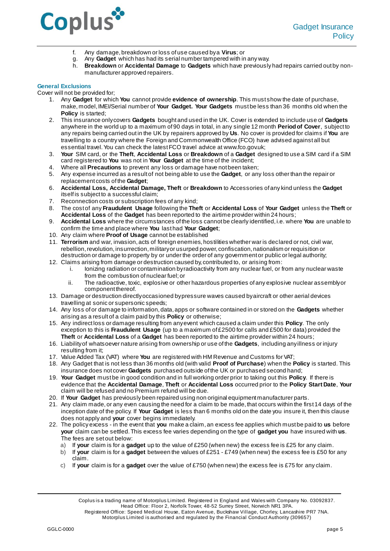

- f. Any damage, breakdown or loss of use caused by a **Virus**; or
- g. Any **Gadget** which has had its serial number tampered with in any way.
- h. **Breakdown** or **Accidental Damage** to **Gadgets** which have previously had repairs carried out by nonmanufacturer approved repairers.

# **General Exclusions**

Cover will not be provided for;

- 1. Any **Gadget** for which **You** cannot provide **evidence of ownership**. This must show the date of purchase, make, model, IMEI/Serial number of **Your Gadget. Your Gadgets** must be less than 36 months old when the **Policy** is started;
- 2. This insurance only covers **Gadgets** bought and used in the UK. Cover is extended to include use of **Gadgets** anywhere in the world up to a maximum of 90 days in total, in any single 12 month **Period of Cover**, subject to any repairs being carried out in the UK by repairers approved by **Us**. No cover is provided for claims if **You** are travelling to a country where the Foreign and Commonwealth Office (FCO) have advised against all but essential travel. You can check the latest FCO travel advice at www.fco.gov.uk;
- 3. **Your** SIM card, or the **Theft**, **Accidental Loss** or **Breakdown** of a **Gadget** designed to use a SIM card if a SIM card registered to **You** was not in **Your Gadget** at the time of the incident;
- 4. Where all **Precautions** to prevent any loss or damage have not been taken;
- 5. Any expense incurred as a result of not being able to use the **Gadget**, or any loss other than the repair or replacement costs of the **Gadget**;
- 6. **Accidental Loss, Accidental Damage, Theft** or **Breakdown** to Accessories of any kind unless the **Gadget** itself is subject to a successful claim;
- 7. Reconnection costs or subscription fees of any kind;
- 8. The cost of any **Fraudulent Usage** following the **Theft** or **Accidental Loss** of **Your Gadget** unless the **Theft** or **Accidental Loss** of the **Gadget** has been reported to the airtime provider within 24 hours;
- 9. **Accidental Loss** where the circumstances of the loss cannot be clearly identified, i.e. where **You** are unable to confirm the time and place where **You** last had **Your Gadget**;
- 10. Any claim where **Proof of Usage** cannot be established
- 11. **Terrorism** and war, invasion, acts of foreign enemies, hostilities whether war is declared or not, civil war, rebellion, revolution, insurrection, military or usurped power, confiscation, nationalism or requisition or destruction or damage to property by or under the order of any government or public or legal authority;
- 12. Claims arising from damage or destruction caused by, contributed to, or arising from:
	- i. Ionizing radiation or contamination by radioactivity from any nuclear fuel, or from any nuclear waste from the combustion of nuclear fuel; or
	- ii. The radioactive, toxic, explosive or other hazardous properties of any explosive nuclear assembly or component thereof.
- 13. Damage or destruction directly occasioned by pressure waves caused by aircraft or other aerial devices travelling at sonic or supersonic speeds;
- 14. Any loss of or damage to information, data, apps or software contained in or stored on the **Gadgets** whether arising as a result of a claim paid by this **Policy** or otherwise;
- 15. Any indirect loss or damage resulting from any event which caused a claim under this **Policy**. The only exception to this is **Fraudulent Usage** (up to a maximum of £2500 for calls and £500 for data) provided the **Theft** or **Accidental Loss** of a **Gadget** has been reported to the airtime provider within 24 hours;
- 16. Liability of whatsoever nature arising from ownership or use of the **Gadgets**, including any illness or injury resulting from it;
- 17. Value Added Tax (VAT) where **You** are registered with HM Revenue and Customs for VAT;
- 18. Any Gadget that is not less than 36 months old (with valid **Proof of Purchase**) when the **Policy** is started. This insurance does not cover **Gadgets** purchased outside of the UK or purchased second hand;
- 19. **Your Gadget** must be in good condition and in full working order prior to taking out this **Policy**. If there is evidence that the **Accidental Damage**, **Theft** or **Accidental Loss** occurred prior to the **Policy Start Date**, **Your** claim will be refused and no Premium refund will be due.
- 20. If **Your Gadget** has previously been repaired using non original equipment manufacturer parts.
- 21. Any claim made, or any even causing the need for a claim to be made, that occurs within the first 14 days of the inception date of the policy. If **Your Gadget** is less than 6 months old on the date you insure it, then this clause does not apply and **your** cover begins immediately.
- 22. The policy excess in the event that **you** make a claim, an excess fee applies which must be paid to **us** before **your** claim can be settled. This excess fee varies depending on the type of **gadget you** have insured with **us**. The fees are set out below:
	- a) If **your** claim is for a **gadget** up to the value of £250 (when new) the excess fee is £25 for any claim.
	- b) If **your** claim is for a **gadget** between the values of £251 £749 (when new) the excess fee is £50 for any claim.
	- c) If **your** claim is for a **gadget** over the value of £750 (when new) the excess fee is £75 for any claim.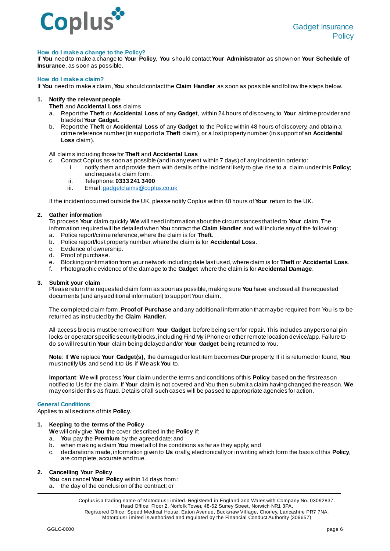

## **How do I make a change to the Policy?**

If **You** need to make a change to **Your Policy**, **You** should contact **Your Administrator** as shown on **Your Schedule of Insurance**, as soon as possible.

#### **How do I make a claim?**

If **You** need to make a claim, **You** should contact the **Claim Handler** as soon as possible and follow the steps below.

### **1. Notify the relevant people**

**Theft** and **Accidental Loss** claims

- a. Report the **Theft** or **Accidental Loss** of any **Gadget**, within 24 hours of discovery, to **Your** airtime provider and blacklist **Your Gadget.**
- b. Report the **Theft** or **Accidental Loss** of any **Gadget** to the Police within 48 hours of discovery, and obtain a crime reference number (in support of a **Theft** claim), or a lost property number (in support of an **Accidental Loss** claim).

### All claims including those for **Theft** and **Accidental Loss**

c. Contact Coplus as soon as possible (and in any event within 7 days) of any incident in order to:

- i. notify them and provide them with details of the incident likely to give rise to a claim under this **Policy**; and request a claim form.
	- ii. Telephone: **0333 241 3400**
	- Email[: gadgetclaims@coplus.co.uk](mailto:gadgetclaims@coplus.co.uk)

If the incident occurred outside the UK, please notify Coplus within 48 hours of **Your** return to the UK.

### **2. Gather information**

To process **Your** claim quickly, **We** will need information about the circumstances that led to **Your** claim. The information required will be detailed when **You** contact the **Claim Handler** and will include any of the following:

- a. Police report/crime reference, where the claim is for **Theft**.
- b. Police report/lost property number, where the claim is for **Accidental Loss**.
- c. Evidence of ownership.
- d. Proof of purchase.
- e. Blocking confirmation from your network including date last used, where claim is for **Theft** or **Accidental Loss**.
- f. Photographic evidence of the damage to the **Gadget** where the claim is for **Accidental Damage**.

## **3. Submit your claim**

Please return the requested claim form as soon as possible, making sure **You** have enclosed all the requested documents (and any additional information) to support Your claim.

The completed claim form, **Proof of Purchase** and any additional information that may be required from You is to be returned as instructed by the **Claim Handler.**

All access blocks must be removed from **Your Gadget** before being sent for repair. This includes any personal pin locks or operator specific security blocks, including Find My iPhone or other remote location devi ce/app. Failure to do so will result in **Your** claim being delayed and/or **Your Gadget** being returned to You.

**Note**: If **We** replace **Your Gadget(s),** the damaged or lost item becomes **Our** property. If it is returned or found, **You** must notify **Us** and send it to **Us** if **We** ask **You** to.

**Important**: **We** will process **Your** claim under the terms and conditions of this **Policy** based on the first reason notified to Us for the claim. If **Your** claim is not covered and You then submit a claim having changed the reason, **We** may consider this as fraud. Details of all such cases will be passed to appropriate agencies for action.

#### **General Conditions**

Applies to all sections of this **Policy**.

# **1. Keeping to the terms of the Policy**

- **We** will only give **You** the cover described in the **Policy** if:
- a. **You** pay the **Premium** by the agreed date; and
- b. when making a claim **You** meet all of the conditions as far as they apply; and
- c. declarations made, information given to **Us** orally, electronically or in writing which form the basis of this **Policy**, are complete, accurate and true.

# **2. Cancelling Your Policy**

- **You** can cancel **Your Policy** within 14 days from:
- a. the day of the conclusion of the contract; or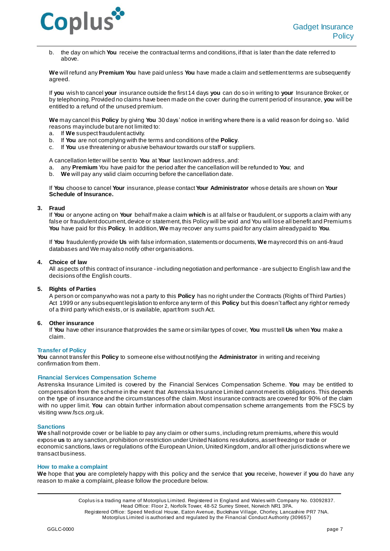

b. the day on which **You** receive the contractual terms and conditions, if that is later than the date referred to above.

**We** will refund any **Premium You** have paid unless **You** have made a claim and settlement terms are subsequently agreed.

If **you** wish to cancel **your** insurance outside the first 14 days **you** can do so in writing to **your** Insurance Broker, or by telephoning. Provided no claims have been made on the cover during the current period of insurance, **you** will be entitled to a refund of the unused premium.

**We** may cancel this **Policy** by giving **You** 30 days' notice in writing where there is a valid reason for doing so. Valid reasons may include but are not limited to:

- a. If **We** suspect fraudulent activity.
- b. If **You** are not complying with the terms and conditions of the **Policy**.
- If **You** use threatening or abusive behaviour towards our staff or suppliers.

A cancellation letter will be sent to **You** at **Your** last known address, and:

- a. any **Premium** You have paid for the period after the cancellation will be refunded to **You**; and
- b. **We** will pay any valid claim occurring before the cancellation date.

If **You** choose to cancel **Your** insurance, please contact**Your Administrator** whose details are shown on **Your Schedule of Insurance.**

### **3. Fraud**

If **You** or anyone acting on **Your** behalf make a claim **which** is at all false or fraudulent, or supports a claim with any false or fraudulent document, device or statement, this Policy will be void and You will lose all benefit and Premiums **You** have paid for this **Policy**. In addition, **We** may recover any sums paid for any claim already paid to **You**.

If **You** fraudulently provide **Us** with false information, statements or documents, **We** may record this on anti-fraud databases and We may also notify other organisations.

### **4. Choice of law**

All aspects of this contract of insurance - including negotiation and performance - are subject to English law and the decisions of the English courts.

# **5. Rights of Parties**

A person or company who was not a party to this **Policy** has no right under the Contracts (Rights of Third Parties) Act 1999 or any subsequent legislation to enforce any term of this **Policy** but this doesn't affect any right or remedy of a third party which exists, or is available, apart from such Act.

# **6. Other insurance**

If **You** have other insurance that provides the same or similar types of cover, **You** must tell **Us** when **You** make a claim.

### **Transfer of Policy**

**You** cannot transfer this **Policy** to someone else without notifying the **Administrator** in writing and receiving confirmation from them.

# **Financial Services Compensation Scheme**

Astrenska Insurance Limited is covered by the Financial Services Compensation Scheme. **You** may be entitled to compensation from the scheme in the event that Astrenska Insurance Limited cannot meet its obligations. This depends on the type of insurance and the circumstances of the claim. Most insurance contracts are covered for 90% of the claim with no upper limit. **You** can obtain further information about compensation scheme arrangements from the FSCS by visiting www.fscs.org.uk.

# **Sanctions**

**We** shall not provide cover or be liable to pay any claim or other sums, including return premiums, where this would expose **us** to any sanction, prohibition or restriction under United Nations resolutions, asset freezing or trade or economic sanctions, laws or regulations of the European Union, United Kingdom, and/or all other jurisdictions where we transact business.

### **How to make a complaint**

**We** hope that **you** are completely happy with this policy and the service that **you** receive, however if **you** do have any reason to make a complaint, please follow the procedure below.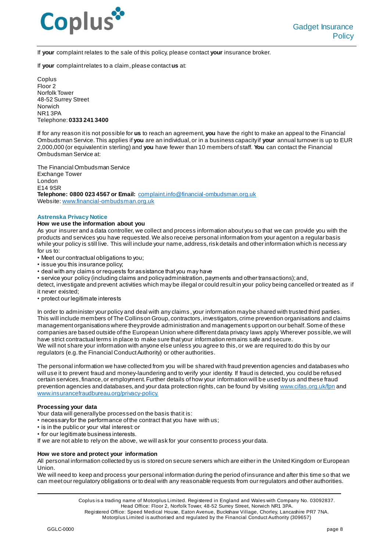

If **your** complaint relates to the sale of this policy, please contact **your** insurance broker.

If **your** complaint relates to a claim, please contact **us** at:

Coplus Floor 2 Norfolk Tower 48-52 Surrey Street Norwich NR1 3PA Telephone: **0333 241 3400**

If for any reason it is not possible for **us** to reach an agreement, **you** have the right to make an appeal to the Financial Ombudsman Service. This applies if **you** are an individual, or in a business capacity if **your** annual turnover is up to EUR 2,000,000 (or equivalent in sterling) and **you** have fewer than 10 members of staff. **You** can contact the Financial Ombudsman Service at:

The Financial Ombudsman Service Exchange Tower London E14 9SR **Telephone: 0800 023 4567 or Email:** [complaint.info@financial-ombudsman.org.uk](mailto:complaint.info@financial-ombudsman.org.uk) Website[: www.financial-ombudsman.org.u](http://www.financial-ombudsman.org.uk/)k

## **Astrenska Privacy Notice**

## **How we use the information about you**

As your insurer and a data controller, we collect and process information about you so that we can provide you with the products and services you have requested. We also receive personal information from your agent on a regular basis while your policy is still live. This will include your name, address, risk details and other information which is necess ary for us to:

• Meet our contractual obligations to you;

- issue you this insurance policy;
- deal with any claims or requests for assistance that you may have
- service your policy (including claims and policy administration, payments and other transactions); and,

detect, investigate and prevent activities which may be illegal or could result in your policy being cancelled or treated as if it never existed;

• protect our legitimate interests

In order to administer your policy and deal with any claims , your information may be shared with trusted third parties. This will include members of The Collinson Group, contractors, investigators, crime prevention organisations and claims management organisations where they provide administration and management s upport on our behalf. Some of these companies are based outside of the European Union where different data privacy laws apply. Wherever possible, we will have strict contractual terms in place to make sure that your information remains safe and secure. We will not share your information with anyone else unless you agree to this, or we are required to do this by our regulators (e.g. the Financial Conduct Authority) or other authorities.

The personal information we have collected from you will be shared with fraud prevention agencies and databases who will use it to prevent fraud and money-laundering and to verify your identity. If fraud is detected, you could be refused certain services, finance, or employment. Further details of how your information will be used by us and these fraud prevention agencies and databases, and your data protection rights, can be found by visitin[g www.cifas.org.uk/fpn](file://///mp-fp01/files/Commercial/Ops%20forms%20&%20Check%20lists/Check%20lists/Templates/www.cifas.org.uk/fpn) and [www.insurancefraudbureau.org/privacy-policy.](http://www.insurancefraudbureau.org/privacy-policy)

## **Processing your data**

Your data will generally be processed on the basis that it is:

• necessary for the performance of the contract that you have with us;

- is in the public or your vital interest: or
- for our legitimate business interests.

If we are not able to rely on the above, we will ask for your consent to process your data.

# **How we store and protect your information**

All personal information collected by us is stored on secure servers which are either in the United Kingdom or European Union.

We will need to keep and process your personal information during the period of insurance and after this time so that we can meet our regulatory obligations or to deal with any reasonable requests from our regulators and other authorities.